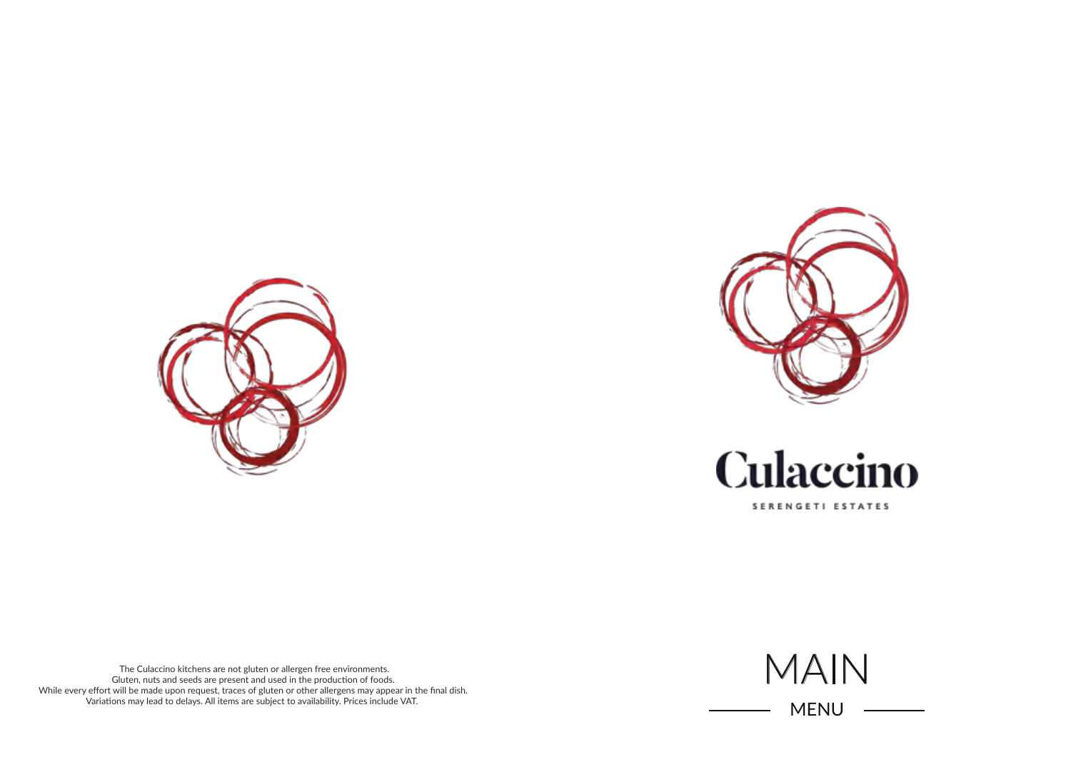





SERENGETI ESTATES

The Culaccino kitchens are not gluten or allergen free environments. Gluten, nuts and seeds are present and used in the production of foods. While every effort will be made upon request, traces of gluten or other allergens may appear in the final dish. Variations may lead to delays. All items are subject to availability. Prices include VAT.



MENU